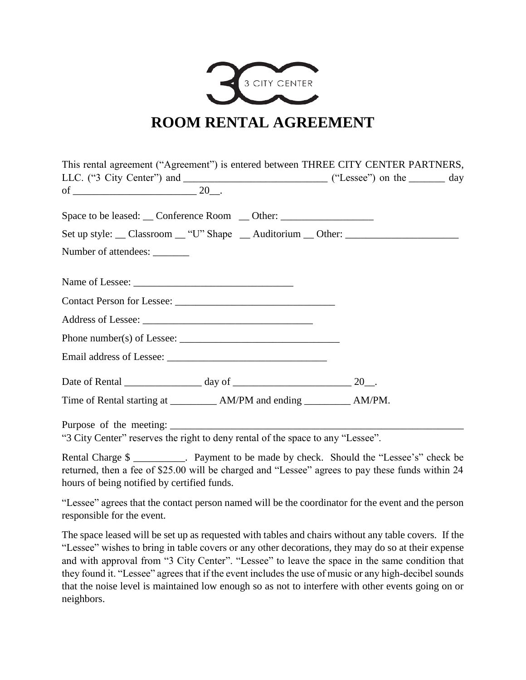

| This rental agreement ("Agreement") is entered between THREE CITY CENTER PARTNERS, |  |
|------------------------------------------------------------------------------------|--|
|                                                                                    |  |
| Space to be leased: __Conference Room __Other: __________________________________  |  |
| Set up style: __ Classroom __ "U" Shape __ Auditorium __ Other: ________________   |  |
| Number of attendees: ________                                                      |  |
|                                                                                    |  |
|                                                                                    |  |
|                                                                                    |  |
| Phone number(s) of Lessee: $\sqrt{\frac{2}{1-\frac{1}{2}} \cdot \frac{1}{2}}$      |  |
|                                                                                    |  |
|                                                                                    |  |
| Time of Rental starting at ______________ AM/PM and ending ____________ AM/PM.     |  |
| "3 City Center" reserves the right to deny rental of the space to any "Lessee".    |  |

Rental Charge \$ returned, then a fee of \$25.00 will be charged and "Lessee" agrees to pay these funds within 24 hours of being notified by certified funds.

"Lessee" agrees that the contact person named will be the coordinator for the event and the person responsible for the event.

The space leased will be set up as requested with tables and chairs without any table covers. If the "Lessee" wishes to bring in table covers or any other decorations, they may do so at their expense and with approval from "3 City Center". "Lessee" to leave the space in the same condition that they found it. "Lessee" agrees that if the event includes the use of music or any high-decibel sounds that the noise level is maintained low enough so as not to interfere with other events going on or neighbors.